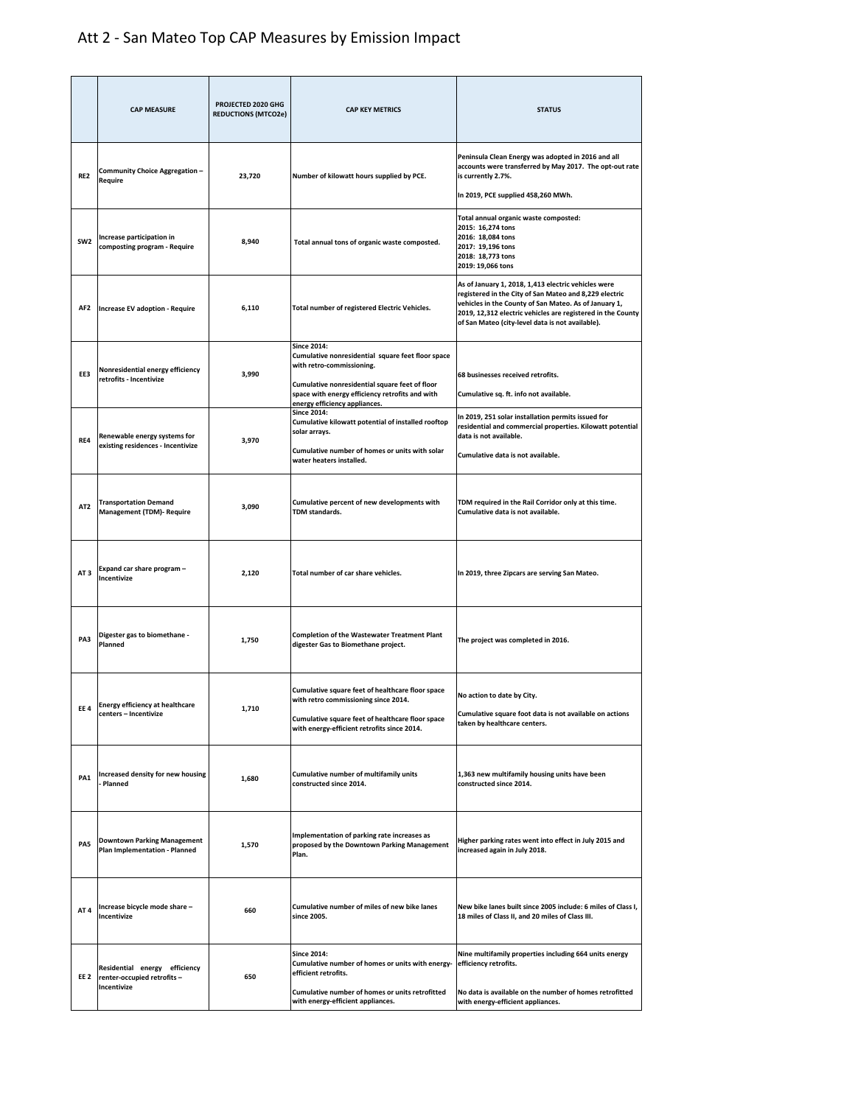## Att 2 - San Mateo Top CAP Measures by Emission Impact

|                 | <b>CAP MEASURE</b>                                                         | PROJECTED 2020 GHG<br><b>REDUCTIONS (MTCO2e)</b> | <b>CAP KEY METRICS</b>                                                                                                                                                                                                                     | <b>STATUS</b>                                                                                                                                                                                                                                                                             |
|-----------------|----------------------------------------------------------------------------|--------------------------------------------------|--------------------------------------------------------------------------------------------------------------------------------------------------------------------------------------------------------------------------------------------|-------------------------------------------------------------------------------------------------------------------------------------------------------------------------------------------------------------------------------------------------------------------------------------------|
| RE <sub>2</sub> | Community Choice Aggregation -<br>Require                                  | 23,720                                           | Number of kilowatt hours supplied by PCE.                                                                                                                                                                                                  | Peninsula Clean Energy was adopted in 2016 and all<br>accounts were transferred by May 2017. The opt-out rate<br>is currently 2.7%.<br>In 2019, PCE supplied 458,260 MWh.                                                                                                                 |
| SW <sub>2</sub> | Increase participation in<br>composting program - Require                  | 8,940                                            | Total annual tons of organic waste composted.                                                                                                                                                                                              | Total annual organic waste composted:<br>2015: 16,274 tons<br>2016: 18,084 tons<br>2017: 19,196 tons<br>2018: 18,773 tons<br>2019: 19,066 tons                                                                                                                                            |
| AF2             | <b>Increase EV adoption - Require</b>                                      | 6,110                                            | Total number of registered Electric Vehicles.                                                                                                                                                                                              | As of January 1, 2018, 1,413 electric vehicles were<br>registered in the City of San Mateo and 8,229 electric<br>vehicles in the County of San Mateo. As of January 1,<br>2019, 12,312 electric vehicles are registered in the County<br>of San Mateo (city-level data is not available). |
| EE3             | Nonresidential energy efficiency<br>retrofits - Incentivize                | 3,990                                            | <b>Since 2014:</b><br>Cumulative nonresidential square feet floor space<br>with retro-commissioning.<br>Cumulative nonresidential square feet of floor<br>space with energy efficiency retrofits and with<br>energy efficiency appliances. | 68 businesses received retrofits.<br>Cumulative sq. ft. info not available.                                                                                                                                                                                                               |
| RE4             | Renewable energy systems for<br>existing residences - Incentivize          | 3,970                                            | <b>Since 2014:</b><br>Cumulative kilowatt potential of installed rooftop<br>solar arrays.<br>Cumulative number of homes or units with solar<br>water heaters installed.                                                                    | In 2019, 251 solar installation permits issued for<br>residential and commercial properties. Kilowatt potential<br>data is not available.<br>Cumulative data is not available.                                                                                                            |
| AT <sub>2</sub> | <b>Transportation Demand</b><br><b>Management (TDM)- Require</b>           | 3,090                                            | Cumulative percent of new developments with<br>TDM standards.                                                                                                                                                                              | TDM required in the Rail Corridor only at this time.<br>Cumulative data is not available.                                                                                                                                                                                                 |
| AT <sub>3</sub> | Expand car share program -<br>Incentivize                                  | 2,120                                            | Total number of car share vehicles.                                                                                                                                                                                                        | In 2019, three Zipcars are serving San Mateo.                                                                                                                                                                                                                                             |
| PA3             | Digester gas to biomethane -<br>Planned                                    | 1,750                                            | <b>Completion of the Wastewater Treatment Plant</b><br>digester Gas to Biomethane project.                                                                                                                                                 | The project was completed in 2016.                                                                                                                                                                                                                                                        |
| EE4             | <b>Energy efficiency at healthcare</b><br>centers - Incentivize            | 1,710                                            | Cumulative square feet of healthcare floor space<br>with retro commissioning since 2014.<br>Cumulative square feet of healthcare floor space<br>with energy-efficient retrofits since 2014.                                                | No action to date by City.<br>Cumulative square foot data is not available on actions<br>taken by healthcare centers.                                                                                                                                                                     |
| PA1             | Increased density for new housing<br>Planned                               | 1,680                                            | Cumulative number of multifamily units<br>constructed since 2014.                                                                                                                                                                          | 1,363 new multifamily housing units have been<br>constructed since 2014.                                                                                                                                                                                                                  |
| PA5             | <b>Downtown Parking Management</b><br>Plan Implementation - Planned        | 1,570                                            | Implementation of parking rate increases as<br>proposed by the Downtown Parking Management<br>Plan.                                                                                                                                        | Higher parking rates went into effect in July 2015 and<br>increased again in July 2018.                                                                                                                                                                                                   |
| AT 4            | Increase bicycle mode share -<br>Incentivize                               | 660                                              | Cumulative number of miles of new bike lanes<br>since 2005.                                                                                                                                                                                | New bike lanes built since 2005 include: 6 miles of Class I,<br>18 miles of Class II, and 20 miles of Class III.                                                                                                                                                                          |
| EE 2            | Residential energy efficiency<br>renter-occupied retrofits-<br>Incentivize | 650                                              | <b>Since 2014:</b><br>Cumulative number of homes or units with energy-<br>efficient retrofits.<br>Cumulative number of homes or units retrofitted<br>with energy-efficient appliances.                                                     | Nine multifamily properties including 664 units energy<br>efficiency retrofits.<br>No data is available on the number of homes retrofitted<br>with energy-efficient appliances.                                                                                                           |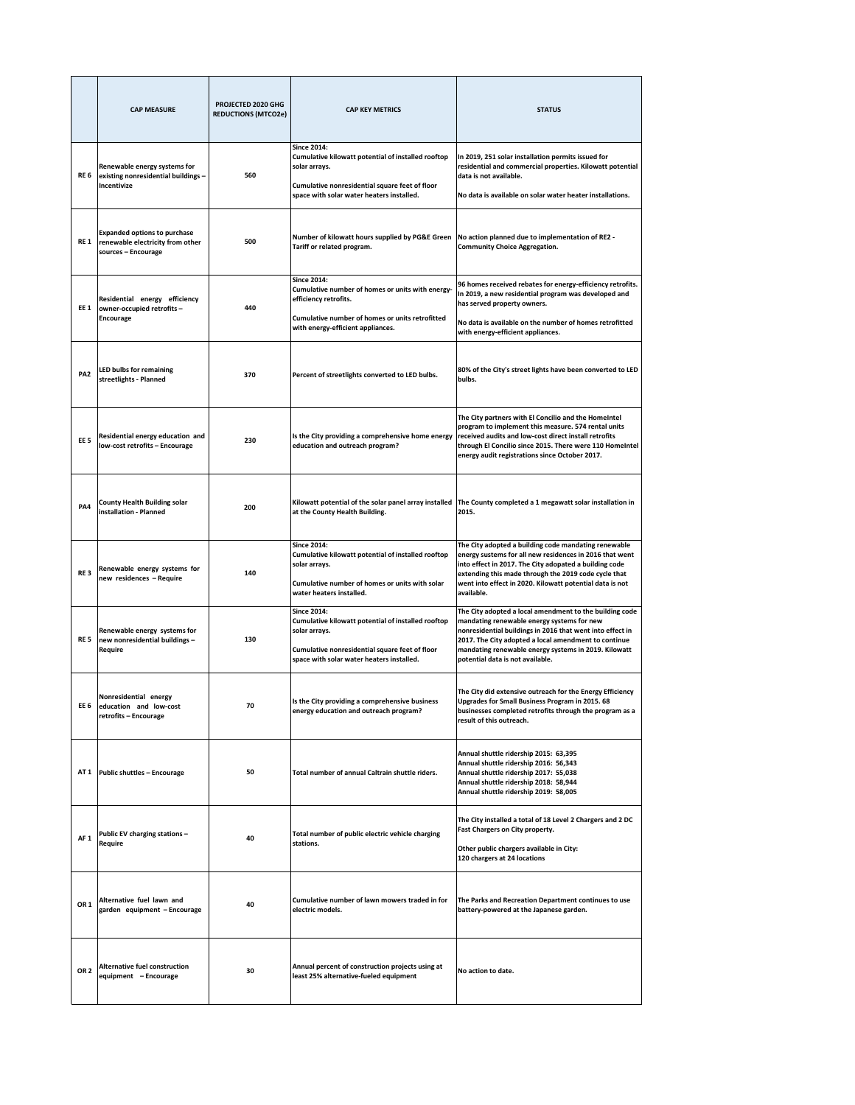|                 | <b>CAP MEASURE</b>                                                                             | PROJECTED 2020 GHG<br><b>REDUCTIONS (MTCO2e)</b> | <b>CAP KEY METRICS</b>                                                                                                                                                                   | <b>STATUS</b>                                                                                                                                                                                                                                                                                                          |
|-----------------|------------------------------------------------------------------------------------------------|--------------------------------------------------|------------------------------------------------------------------------------------------------------------------------------------------------------------------------------------------|------------------------------------------------------------------------------------------------------------------------------------------------------------------------------------------------------------------------------------------------------------------------------------------------------------------------|
| RE 6            | Renewable energy systems for<br>existing nonresidential buildings -<br>Incentivize             | 560                                              | <b>Since 2014:</b><br>Cumulative kilowatt potential of installed rooftop<br>solar arrays.<br>Cumulative nonresidential square feet of floor<br>space with solar water heaters installed. | In 2019, 251 solar installation permits issued for<br>residential and commercial properties. Kilowatt potential<br>data is not available.<br>No data is available on solar water heater installations.                                                                                                                 |
| RE 1            | <b>Expanded options to purchase</b><br>renewable electricity from other<br>sources - Encourage | 500                                              | Number of kilowatt hours supplied by PG&E Green<br>Tariff or related program.                                                                                                            | No action planned due to implementation of RE2 -<br><b>Community Choice Aggregation.</b>                                                                                                                                                                                                                               |
| EE 1            | Residential energy efficiency<br>owner-occupied retrofits -<br><b>Encourage</b>                | 440                                              | <b>Since 2014:</b><br>Cumulative number of homes or units with energy-<br>efficiency retrofits.<br>Cumulative number of homes or units retrofitted<br>with energy-efficient appliances.  | 96 homes received rebates for energy-efficiency retrofits.<br>In 2019, a new residential program was developed and<br>has served property owners.<br>No data is available on the number of homes retrofitted<br>with energy-efficient appliances.                                                                      |
| PA <sub>2</sub> | <b>LED bulbs for remaining</b><br>streetlights - Planned                                       | 370                                              | Percent of streetlights converted to LED bulbs.                                                                                                                                          | 80% of the City's street lights have been converted to LED<br>bulbs.                                                                                                                                                                                                                                                   |
| EE <sub>5</sub> | Residential energy education and<br>low-cost retrofits - Encourage                             | 230                                              | Is the City providing a comprehensive home energy<br>education and outreach program?                                                                                                     | The City partners with El Concilio and the HomeIntel<br>program to implement this measure. 574 rental units<br>received audits and low-cost direct install retrofits<br>through El Concilio since 2015. There were 110 HomeIntel<br>energy audit registrations since October 2017.                                     |
| PA4             | <b>County Health Building solar</b><br>installation - Planned                                  | 200                                              | Kilowatt potential of the solar panel array installed<br>at the County Health Building.                                                                                                  | The County completed a 1 megawatt solar installation in<br>2015.                                                                                                                                                                                                                                                       |
| RE <sub>3</sub> | Renewable energy systems for<br>new residences - Require                                       | 140                                              | <b>Since 2014:</b><br>Cumulative kilowatt potential of installed rooftop<br>solar arrays.<br>Cumulative number of homes or units with solar<br>water heaters installed.                  | The City adopted a building code mandating renewable<br>energy sustems for all new residences in 2016 that went<br>into effect in 2017. The City adopated a building code<br>extending this made through the 2019 code cycle that<br>went into effect in 2020. Kilowatt potential data is not<br>available.            |
| RE 5            | Renewable energy systems for<br>new nonresidential buildings -<br>Require                      | 130                                              | <b>Since 2014:</b><br>Cumulative kilowatt potential of installed rooftop<br>solar arrays.<br>Cumulative nonresidential square feet of floor<br>space with solar water heaters installed. | The City adopted a local amendment to the building code<br>mandating renewable energy systems for new<br>nonresidential buildings in 2016 that went into effect in<br>2017. The City adopted a local amendment to continue<br>mandating renewable energy systems in 2019. Kilowatt<br>potential data is not available. |
| EE <sub>6</sub> | Nonresidential energy<br>education and low-cost<br>retrofits - Encourage                       | 70                                               | Is the City providing a comprehensive business<br>energy education and outreach program?                                                                                                 | The City did extensive outreach for the Energy Efficiency<br>Upgrades for Small Business Program in 2015. 68<br>businesses completed retrofits through the program as a<br>result of this outreach.                                                                                                                    |
|                 | AT 1 Public shuttles - Encourage                                                               | 50                                               | Total number of annual Caltrain shuttle riders.                                                                                                                                          | Annual shuttle ridership 2015: 63,395<br>Annual shuttle ridership 2016: 56,343<br>Annual shuttle ridership 2017: 55,038<br>Annual shuttle ridership 2018: 58,944<br>Annual shuttle ridership 2019: 58,005                                                                                                              |
| AF <sub>1</sub> | Public EV charging stations -<br>Require                                                       | 40                                               | Total number of public electric vehicle charging<br>stations.                                                                                                                            | The City installed a total of 18 Level 2 Chargers and 2 DC<br>Fast Chargers on City property.<br>Other public chargers available in City:<br>120 chargers at 24 locations                                                                                                                                              |
| OR 1            | Alternative fuel lawn and<br>garden equipment - Encourage                                      | 40                                               | Cumulative number of lawn mowers traded in for<br>electric models.                                                                                                                       | The Parks and Recreation Department continues to use<br>battery-powered at the Japanese garden.                                                                                                                                                                                                                        |
| OR <sub>2</sub> | <b>Alternative fuel construction</b><br>equipment - Encourage                                  | 30                                               | Annual percent of construction projects using at<br>least 25% alternative-fueled equipment                                                                                               | No action to date.                                                                                                                                                                                                                                                                                                     |